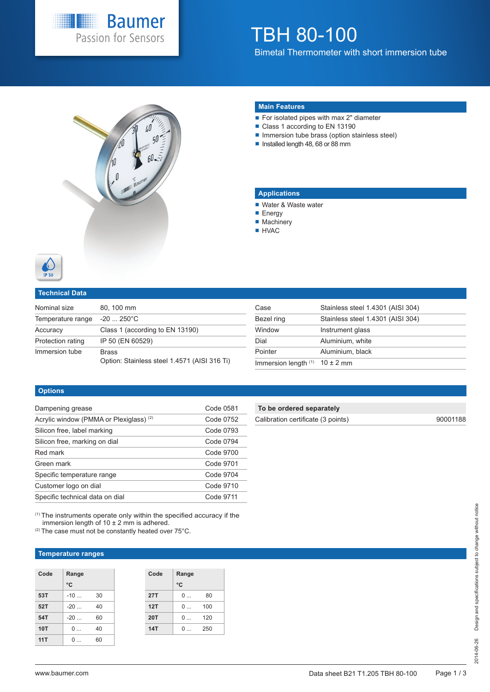

# TBH 80-100

Bimetal Thermometer with short immersion tube



### **Main Features**

- For isolated pipes with max 2" diameter
- Class 1 according to EN 13190
- Immersion tube brass (option stainless steel)
- Installed length 48, 68 or 88 mm

### **Applications**

- Water & Waste water
- **Energy**
- Machinery
- **HVAC**



### **Technical Data**

| Nominal size      | 80, 100 mm                                                   |
|-------------------|--------------------------------------------------------------|
| Temperature range | $-20$ 250 $^{\circ}$ C                                       |
| Accuracy          | Class 1 (according to EN 13190)                              |
| Protection rating | IP 50 (EN 60529)                                             |
| Immersion tube    | <b>Brass</b><br>Option: Stainless steel 1.4571 (AISI 316 Ti) |

| Stainless steel 1.4301 (AISI 304) |
|-----------------------------------|
| Stainless steel 1.4301 (AISI 304) |
| Instrument glass                  |
| Aluminium, white                  |
| Aluminium, black                  |
| Immersion length $(1)$ 10 ± 2 mm  |
|                                   |

### **Options**

| Dampening grease                                   | Code 0581 |
|----------------------------------------------------|-----------|
| Acrylic window (PMMA or Plexiglass) <sup>(2)</sup> | Code 0752 |
| Silicon free, label marking                        | Code 0793 |
| Silicon free, marking on dial                      | Code 0794 |
| Red mark                                           | Code 9700 |
| Green mark                                         | Code 9701 |
| Specific temperature range                         | Code 9704 |
| Customer logo on dial                              | Code 9710 |
| Specific technical data on dial                    | Code 9711 |

(1) The instruments operate only within the specified accuracy if the

immersion length of  $10 \pm 2$  mm is adhered.

**To be ordered separately**

Calibration certificate (3 points) 90001188

| <sup>(2)</sup> The case must not be constantly heated over 75°C. |  |  |
|------------------------------------------------------------------|--|--|
|                                                                  |  |  |

### **Temperature ranges**

| Code       | Range<br>°C    |    | Code       | Range<br>°C |     |
|------------|----------------|----|------------|-------------|-----|
| 53T        | $-10$          | 30 | <b>27T</b> | 0           | 80  |
| 52T        | $-20$          | 40 | 12T        | 0           | 100 |
| 54T        | $-20$          | 60 | <b>20T</b> | 0           | 120 |
| <b>10T</b> | 0              | 40 | 14T        | 0           | 250 |
| 11T        | 0<br>$\ddotsc$ | 60 |            |             |     |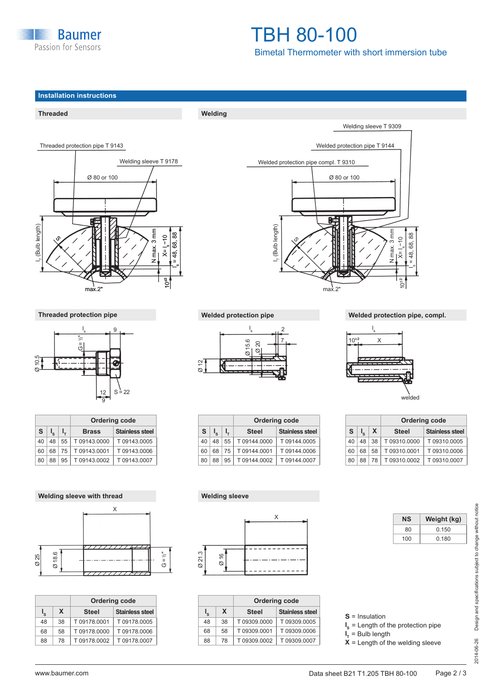

## TBH 80-100 Bimetal Thermometer with short immersion tube

**Threaded Welding**







| <b>Ordering code</b> |    |    |              |                        |  |  |  |  |  |  |  |  |
|----------------------|----|----|--------------|------------------------|--|--|--|--|--|--|--|--|
| S                    |    |    | <b>Brass</b> | <b>Stainless steel</b> |  |  |  |  |  |  |  |  |
| 40                   | 48 | 55 | T 09143.0000 | T 09143.0005           |  |  |  |  |  |  |  |  |
| 60                   | 68 | 75 | T09143.0001  | T09143.0006            |  |  |  |  |  |  |  |  |
| 80                   | 88 | 95 | T 09143.0002 | T09143.0007            |  |  |  |  |  |  |  |  |





|    |    | <b>Ordering code</b> |                        |  |  |  |  |  |  |  |  |  |
|----|----|----------------------|------------------------|--|--|--|--|--|--|--|--|--|
| ı° | X. | <b>Steel</b>         | <b>Stainless steel</b> |  |  |  |  |  |  |  |  |  |
| 48 | 38 | T 09178.0001         | T09178.0005            |  |  |  |  |  |  |  |  |  |
| 68 | 58 | T 09178.0000         | T09178,0006            |  |  |  |  |  |  |  |  |  |
| 88 | 78 | T09178.0002          | T09178,0007            |  |  |  |  |  |  |  |  |  |





|    |    |    | <b>Ordering code</b> |                        |
|----|----|----|----------------------|------------------------|
| S. |    |    | <b>Steel</b>         | <b>Stainless steel</b> |
| 40 | 48 | 55 | T 09144.0000         | T 09144.0005           |
| 60 | 68 | 75 | T09144.0001          | T 09144.0006           |
| 80 | 88 | 95 | T 09144.0002         | T 09144.0007           |

### **Threaded protection pipe Welded protection pipe Welded protection pipe, compl.**



welded

|    |                           | <b>Ordering code</b> |              |                        |  |  |  |  |  |  |  |  |  |
|----|---------------------------|----------------------|--------------|------------------------|--|--|--|--|--|--|--|--|--|
| S  | $\mathsf{I}_{\mathsf{e}}$ | X                    | <b>Steel</b> | <b>Stainless steel</b> |  |  |  |  |  |  |  |  |  |
| 40 | 48                        | 38                   | T09310,0000  | T09310.0005            |  |  |  |  |  |  |  |  |  |
| 60 | 68                        | 58                   | T09310.0001  | T09310.0006            |  |  |  |  |  |  |  |  |  |
| 80 | 88                        | 78                   | T 09310.0002 | T09310.0007            |  |  |  |  |  |  |  |  |  |



|             |    | <b>Ordering code</b> |                        |  |  |  |  |  |  |  |  |  |  |  |
|-------------|----|----------------------|------------------------|--|--|--|--|--|--|--|--|--|--|--|
| $I_{\rm s}$ | X. | <b>Steel</b>         | <b>Stainless steel</b> |  |  |  |  |  |  |  |  |  |  |  |
| 48          | 38 | T09309.0000          | T09309.0005            |  |  |  |  |  |  |  |  |  |  |  |
| 68          | 58 | T09309.0001          | T09309.0006            |  |  |  |  |  |  |  |  |  |  |  |
| 88          | 78 | T09309.0002          | T09309.0007            |  |  |  |  |  |  |  |  |  |  |  |

**NS Weight (kg)**  80 0.150 100 0.180

**S** = Insulation

**I**<sub>s</sub> = Length of the protection pipe

**l <sup>T</sup>**= Bulb length

 $\mathbf{x}$  = Length of the welding sleeve